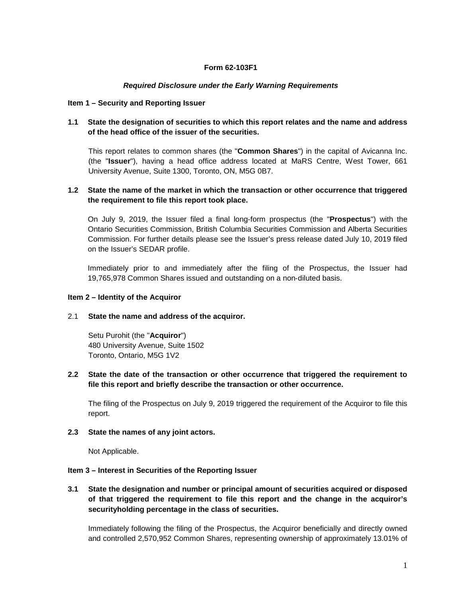# **Form 62-103F1**

### *Required Disclosure under the Early Warning Requirements*

#### **Item 1 – Security and Reporting Issuer**

## **1.1 State the designation of securities to which this report relates and the name and address of the head office of the issuer of the securities.**

This report relates to common shares (the "**Common Shares**") in the capital of Avicanna Inc. (the "**Issuer**"), having a head office address located at MaRS Centre, West Tower, 661 University Avenue, Suite 1300, Toronto, ON, M5G 0B7.

## **1.2 State the name of the market in which the transaction or other occurrence that triggered the requirement to file this report took place.**

On July 9, 2019, the Issuer filed a final long‐form prospectus (the "**Prospectus**") with the Ontario Securities Commission, British Columbia Securities Commission and Alberta Securities Commission. For further details please see the Issuer's press release dated July 10, 2019 filed on the Issuer's SEDAR profile.

Immediately prior to and immediately after the filing of the Prospectus, the Issuer had 19,765,978 Common Shares issued and outstanding on a non‐diluted basis.

### **Item 2 – Identity of the Acquiror**

#### 2.1 **State the name and address of the acquiror.**

Setu Purohit (the "**Acquiror**") 480 University Avenue, Suite 1502 Toronto, Ontario, M5G 1V2

## **2.2 State the date of the transaction or other occurrence that triggered the requirement to file this report and briefly describe the transaction or other occurrence.**

The filing of the Prospectus on July 9, 2019 triggered the requirement of the Acquiror to file this report.

#### **2.3 State the names of any joint actors.**

Not Applicable.

#### **Item 3 – Interest in Securities of the Reporting Issuer**

**3.1 State the designation and number or principal amount of securities acquired or disposed of that triggered the requirement to file this report and the change in the acquiror's securityholding percentage in the class of securities.** 

Immediately following the filing of the Prospectus, the Acquiror beneficially and directly owned and controlled 2,570,952 Common Shares, representing ownership of approximately 13.01% of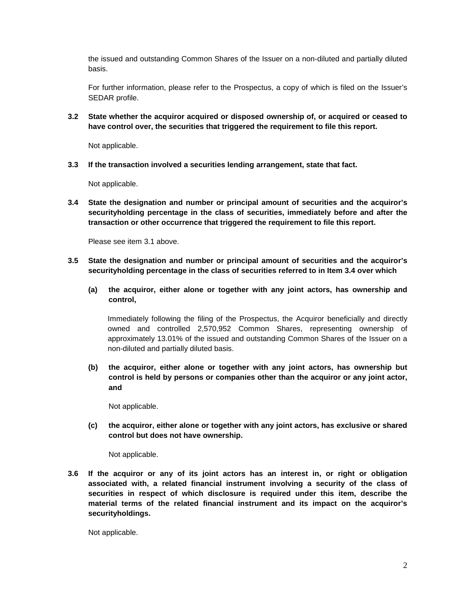the issued and outstanding Common Shares of the Issuer on a non-diluted and partially diluted basis.

For further information, please refer to the Prospectus, a copy of which is filed on the Issuer's SEDAR profile.

**3.2 State whether the acquiror acquired or disposed ownership of, or acquired or ceased to have control over, the securities that triggered the requirement to file this report.** 

Not applicable.

**3.3 If the transaction involved a securities lending arrangement, state that fact.** 

Not applicable.

**3.4 State the designation and number or principal amount of securities and the acquiror's securityholding percentage in the class of securities, immediately before and after the transaction or other occurrence that triggered the requirement to file this report.** 

Please see item 3.1 above.

- **3.5 State the designation and number or principal amount of securities and the acquiror's securityholding percentage in the class of securities referred to in Item 3.4 over which** 
	- **(a) the acquiror, either alone or together with any joint actors, has ownership and control,**

Immediately following the filing of the Prospectus, the Acquiror beneficially and directly owned and controlled 2,570,952 Common Shares, representing ownership of approximately 13.01% of the issued and outstanding Common Shares of the Issuer on a non-diluted and partially diluted basis.

**(b) the acquiror, either alone or together with any joint actors, has ownership but control is held by persons or companies other than the acquiror or any joint actor, and** 

Not applicable.

**(c) the acquiror, either alone or together with any joint actors, has exclusive or shared control but does not have ownership.** 

Not applicable.

**3.6 If the acquiror or any of its joint actors has an interest in, or right or obligation associated with, a related financial instrument involving a security of the class of securities in respect of which disclosure is required under this item, describe the material terms of the related financial instrument and its impact on the acquiror's securityholdings.** 

Not applicable.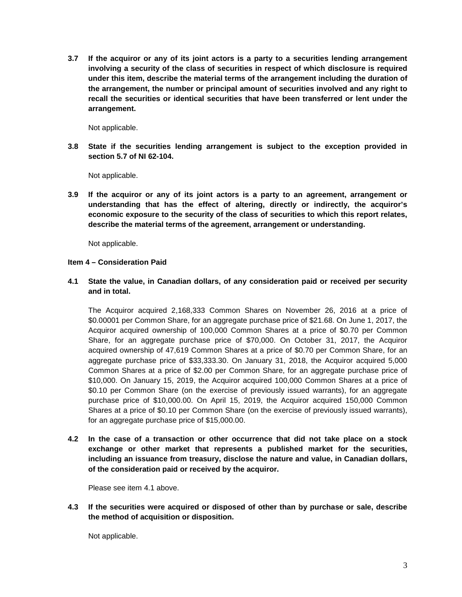**3.7 If the acquiror or any of its joint actors is a party to a securities lending arrangement involving a security of the class of securities in respect of which disclosure is required under this item, describe the material terms of the arrangement including the duration of the arrangement, the number or principal amount of securities involved and any right to recall the securities or identical securities that have been transferred or lent under the arrangement.** 

Not applicable.

**3.8 State if the securities lending arrangement is subject to the exception provided in section 5.7 of NI 62-104.** 

Not applicable.

**3.9 If the acquiror or any of its joint actors is a party to an agreement, arrangement or understanding that has the effect of altering, directly or indirectly, the acquiror's economic exposure to the security of the class of securities to which this report relates, describe the material terms of the agreement, arrangement or understanding.** 

Not applicable.

### **Item 4 – Consideration Paid**

**4.1 State the value, in Canadian dollars, of any consideration paid or received per security and in total.** 

The Acquiror acquired 2,168,333 Common Shares on November 26, 2016 at a price of \$0.00001 per Common Share, for an aggregate purchase price of \$21.68. On June 1, 2017, the Acquiror acquired ownership of 100,000 Common Shares at a price of \$0.70 per Common Share, for an aggregate purchase price of \$70,000. On October 31, 2017, the Acquiror acquired ownership of 47,619 Common Shares at a price of \$0.70 per Common Share, for an aggregate purchase price of \$33,333.30. On January 31, 2018, the Acquiror acquired 5,000 Common Shares at a price of \$2.00 per Common Share, for an aggregate purchase price of \$10,000. On January 15, 2019, the Acquiror acquired 100,000 Common Shares at a price of \$0.10 per Common Share (on the exercise of previously issued warrants), for an aggregate purchase price of \$10,000.00. On April 15, 2019, the Acquiror acquired 150,000 Common Shares at a price of \$0.10 per Common Share (on the exercise of previously issued warrants), for an aggregate purchase price of \$15,000.00.

**4.2 In the case of a transaction or other occurrence that did not take place on a stock exchange or other market that represents a published market for the securities, including an issuance from treasury, disclose the nature and value, in Canadian dollars, of the consideration paid or received by the acquiror.** 

Please see item 4.1 above.

**4.3 If the securities were acquired or disposed of other than by purchase or sale, describe the method of acquisition or disposition.** 

Not applicable.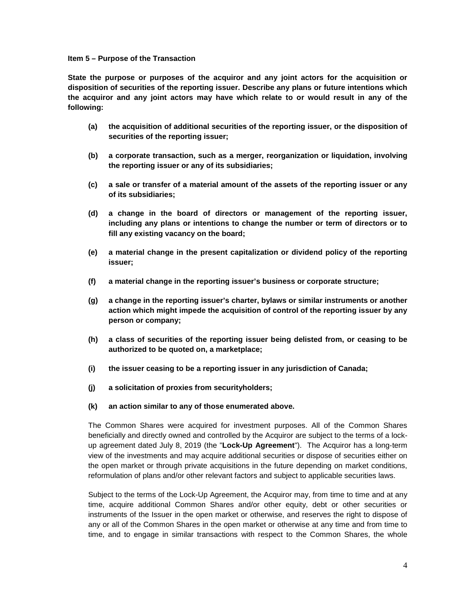#### **Item 5 – Purpose of the Transaction**

**State the purpose or purposes of the acquiror and any joint actors for the acquisition or disposition of securities of the reporting issuer. Describe any plans or future intentions which the acquiror and any joint actors may have which relate to or would result in any of the following:** 

- **(a) the acquisition of additional securities of the reporting issuer, or the disposition of securities of the reporting issuer;**
- **(b) a corporate transaction, such as a merger, reorganization or liquidation, involving the reporting issuer or any of its subsidiaries;**
- **(c) a sale or transfer of a material amount of the assets of the reporting issuer or any of its subsidiaries;**
- **(d) a change in the board of directors or management of the reporting issuer, including any plans or intentions to change the number or term of directors or to fill any existing vacancy on the board;**
- **(e) a material change in the present capitalization or dividend policy of the reporting issuer;**
- **(f) a material change in the reporting issuer's business or corporate structure;**
- **(g) a change in the reporting issuer's charter, bylaws or similar instruments or another action which might impede the acquisition of control of the reporting issuer by any person or company;**
- **(h) a class of securities of the reporting issuer being delisted from, or ceasing to be authorized to be quoted on, a marketplace;**
- **(i) the issuer ceasing to be a reporting issuer in any jurisdiction of Canada;**
- **(j) a solicitation of proxies from securityholders;**
- **(k) an action similar to any of those enumerated above.**

The Common Shares were acquired for investment purposes. All of the Common Shares beneficially and directly owned and controlled by the Acquiror are subject to the terms of a lockup agreement dated July 8, 2019 (the "**Lock-Up Agreement**"). The Acquiror has a long‐term view of the investments and may acquire additional securities or dispose of securities either on the open market or through private acquisitions in the future depending on market conditions, reformulation of plans and/or other relevant factors and subject to applicable securities laws.

Subject to the terms of the Lock-Up Agreement, the Acquiror may, from time to time and at any time, acquire additional Common Shares and/or other equity, debt or other securities or instruments of the Issuer in the open market or otherwise, and reserves the right to dispose of any or all of the Common Shares in the open market or otherwise at any time and from time to time, and to engage in similar transactions with respect to the Common Shares, the whole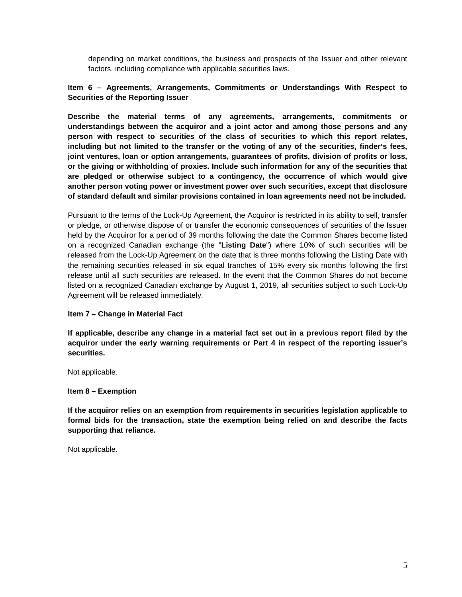depending on market conditions, the business and prospects of the Issuer and other relevant factors, including compliance with applicable securities laws.

# **Item 6 – Agreements, Arrangements, Commitments or Understandings With Respect to Securities of the Reporting Issuer**

**Describe the material terms of any agreements, arrangements, commitments or understandings between the acquiror and a joint actor and among those persons and any person with respect to securities of the class of securities to which this report relates, including but not limited to the transfer or the voting of any of the securities, finder's fees, joint ventures, loan or option arrangements, guarantees of profits, division of profits or loss, or the giving or withholding of proxies. Include such information for any of the securities that are pledged or otherwise subject to a contingency, the occurrence of which would give another person voting power or investment power over such securities, except that disclosure of standard default and similar provisions contained in loan agreements need not be included.** 

Pursuant to the terms of the Lock-Up Agreement, the Acquiror is restricted in its ability to sell, transfer or pledge, or otherwise dispose of or transfer the economic consequences of securities of the Issuer held by the Acquiror for a period of 39 months following the date the Common Shares become listed on a recognized Canadian exchange (the "**Listing Date**") where 10% of such securities will be released from the Lock-Up Agreement on the date that is three months following the Listing Date with the remaining securities released in six equal tranches of 15% every six months following the first release until all such securities are released. In the event that the Common Shares do not become listed on a recognized Canadian exchange by August 1, 2019, all securities subject to such Lock-Up Agreement will be released immediately.

## **Item 7 – Change in Material Fact**

**If applicable, describe any change in a material fact set out in a previous report filed by the acquiror under the early warning requirements or Part 4 in respect of the reporting issuer's securities.** 

Not applicable.

#### **Item 8 – Exemption**

**If the acquiror relies on an exemption from requirements in securities legislation applicable to formal bids for the transaction, state the exemption being relied on and describe the facts supporting that reliance.** 

Not applicable.